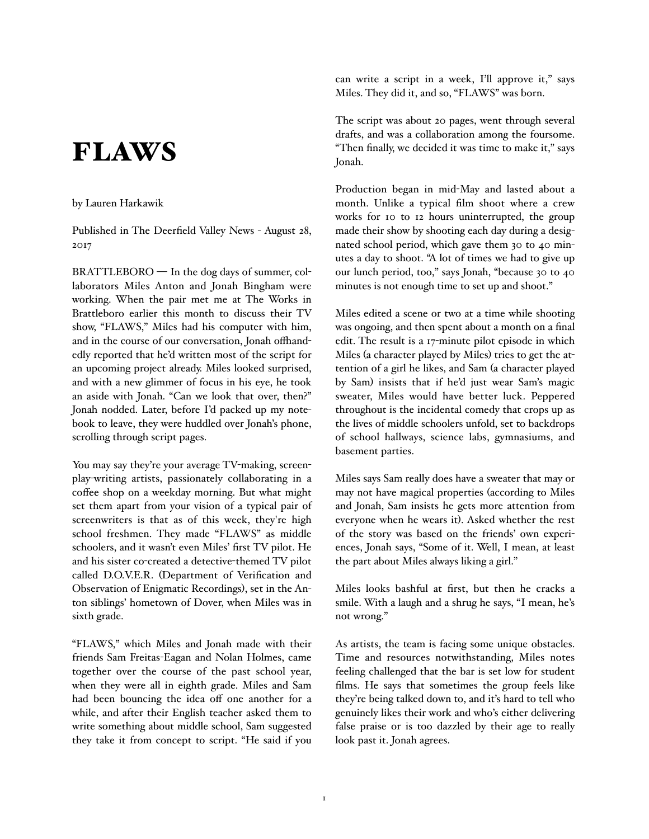## FLAWS

## by Lauren Harkawik

Published in The Deerfield Valley News - August 28, 2017

BRATTLEBORO — In the dog days of summer, collaborators Miles Anton and Jonah Bingham were working. When the pair met me at The Works in Brattleboro earlier this month to discuss their TV show, "FLAWS," Miles had his computer with him, and in the course of our conversation, Jonah offhandedly reported that he'd written most of the script for an upcoming project already. Miles looked surprised, and with a new glimmer of focus in his eye, he took an aside with Jonah. "Can we look that over, then?" Jonah nodded. Later, before I'd packed up my notebook to leave, they were huddled over Jonah's phone, scrolling through script pages.

You may say they're your average TV-making, screenplay-writing artists, passionately collaborating in a coffee shop on a weekday morning. But what might set them apart from your vision of a typical pair of screenwriters is that as of this week, they're high school freshmen. They made "FLAWS" as middle schoolers, and it wasn't even Miles' first TV pilot. He and his sister co-created a detective-themed TV pilot called D.O.V.E.R. (Department of Verification and Observation of Enigmatic Recordings), set in the Anton siblings' hometown of Dover, when Miles was in sixth grade.

"FLAWS," which Miles and Jonah made with their friends Sam Freitas-Eagan and Nolan Holmes, came together over the course of the past school year, when they were all in eighth grade. Miles and Sam had been bouncing the idea off one another for a while, and after their English teacher asked them to write something about middle school, Sam suggested they take it from concept to script. "He said if you can write a script in a week, I'll approve it," says Miles. They did it, and so, "FLAWS" was born.

The script was about 20 pages, went through several drafts, and was a collaboration among the foursome. "Then finally, we decided it was time to make it," says Jonah.

Production began in mid-May and lasted about a month. Unlike a typical film shoot where a crew works for 10 to 12 hours uninterrupted, the group made their show by shooting each day during a designated school period, which gave them 30 to 40 minutes a day to shoot. "A lot of times we had to give up our lunch period, too," says Jonah, "because 30 to 40 minutes is not enough time to set up and shoot."

Miles edited a scene or two at a time while shooting was ongoing, and then spent about a month on a final edit. The result is a 17-minute pilot episode in which Miles (a character played by Miles) tries to get the attention of a girl he likes, and Sam (a character played by Sam) insists that if he'd just wear Sam's magic sweater, Miles would have better luck. Peppered throughout is the incidental comedy that crops up as the lives of middle schoolers unfold, set to backdrops of school hallways, science labs, gymnasiums, and basement parties.

Miles says Sam really does have a sweater that may or may not have magical properties (according to Miles and Jonah, Sam insists he gets more attention from everyone when he wears it). Asked whether the rest of the story was based on the friends' own experiences, Jonah says, "Some of it. Well, I mean, at least the part about Miles always liking a girl."

Miles looks bashful at first, but then he cracks a smile. With a laugh and a shrug he says, "I mean, he's not wrong."

As artists, the team is facing some unique obstacles. Time and resources notwithstanding, Miles notes feeling challenged that the bar is set low for student films. He says that sometimes the group feels like they're being talked down to, and it's hard to tell who genuinely likes their work and who's either delivering false praise or is too dazzled by their age to really look past it. Jonah agrees.